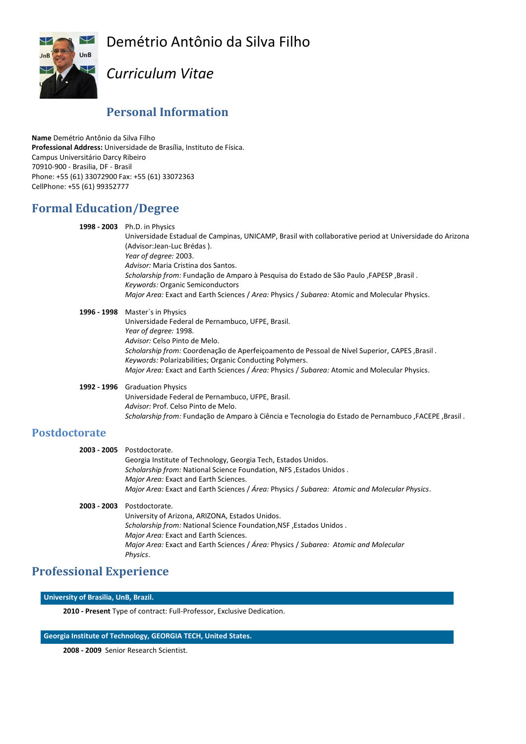Demétrio Antônio da Silva Filho



# *Curriculum Vitae*

## **Personal Information**

**Name** Demétrio Antônio da Silva Filho **Professional Address:** Universidade de Brasília, Instituto de Física. Campus Universitário Darcy Ribeiro 70910-900 - Brasilia, DF - Brasil Phone: +55 (61) 33072900 Fax: +55 (61) 33072363 CellPhone: +55 (61) 99352777

## **Formal Education/Degree**

| 1998 - 2003 Ph.D. in Physics<br>Universidade Estadual de Campinas, UNICAMP, Brasil with collaborative period at Universidade do Arizona<br>(Advisor:Jean-Luc Brédas).<br>Year of degree: 2003.<br>Advisor: Maria Cristina dos Santos.<br>Scholarship from: Fundação de Amparo à Pesquisa do Estado de São Paulo, FAPESP, Brasil.<br>Keywords: Organic Semiconductors<br>Major Area: Exact and Earth Sciences / Area: Physics / Subarea: Atomic and Molecular Physics. |
|-----------------------------------------------------------------------------------------------------------------------------------------------------------------------------------------------------------------------------------------------------------------------------------------------------------------------------------------------------------------------------------------------------------------------------------------------------------------------|
| 1996 - 1998 Master's in Physics<br>Universidade Federal de Pernambuco, UFPE, Brasil.<br>Year of degree: 1998.<br>Advisor: Celso Pinto de Melo.<br>. Scholarship from: Coordenação de Aperfeiçoamento de Pessoal de Nível Superior, CAPES, Brasil<br>Keywords: Polarizabilities: Organic Conducting Polymers.<br>Major Area: Exact and Earth Sciences / Área: Physics / Subarea: Atomic and Molecular Physics.                                                         |

**1992 - 1996** Graduation Physics Universidade Federal de Pernambuco, UFPE, Brasil. *Advisor:* Prof. Celso Pinto de Melo. *Scholarship from:* Fundação de Amparo à Ciência e Tecnologia do Estado de Pernambuco ,FACEPE ,Brasil .

### **Postdoctorate**

| 2003 - 2005 Postdoctorate.                                                                    |
|-----------------------------------------------------------------------------------------------|
| Georgia Institute of Technology, Georgia Tech, Estados Unidos.                                |
| Scholarship from: National Science Foundation, NFS, Estados Unidos.                           |
| Major Area: Exact and Earth Sciences.                                                         |
| Major Area: Exact and Earth Sciences / Área: Physics / Subarea: Atomic and Molecular Physics. |
| 2003 - 2003 Postdoctorate.                                                                    |
| University of Arizona, ARIZONA, Estados Unidos.                                               |
| Scholarship from: National Science Foundation, NSF, Estados Unidos.                           |
| Major Area: Exact and Earth Sciences.                                                         |
| Major Area: Exact and Earth Sciences / Área: Physics / Subarea: Atomic and Molecular          |
| Physics.                                                                                      |
|                                                                                               |

## **Professional Experience**

**University of Brasilia, UnB, Brazil.**

**2010 - Present** Type of contract: Full-Professor, Exclusive Dedication.

### **Georgia Institute of Technology, GEORGIA TECH, United States.**

**2008 - 2009** Senior Research Scientist.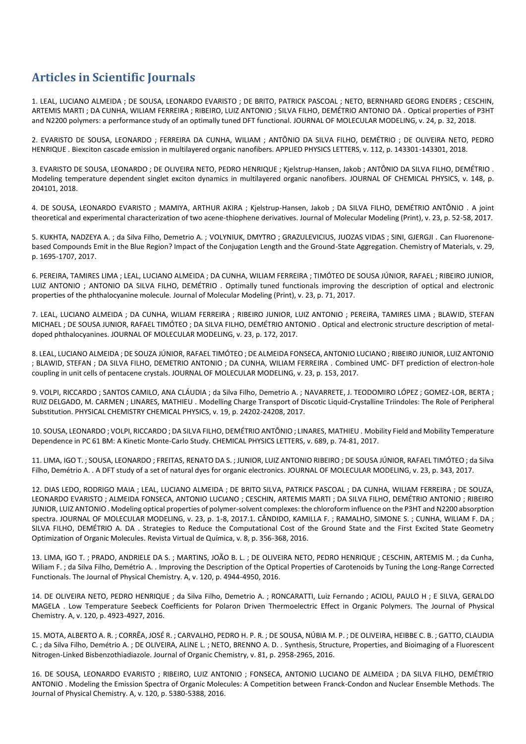# **Articles in Scientific Journals**

1. LEAL, LUCIANO ALMEIDA ; DE SOUSA, LEONARDO EVARISTO ; DE BRITO, PATRICK PASCOAL ; NETO, BERNHARD GEORG ENDERS ; CESCHIN, ARTEMIS MARTI ; DA CUNHA, WILIAM FERREIRA ; RIBEIRO, LUIZ ANTONIO ; SILVA FILHO, DEMÉTRIO ANTONIO DA . Optical properties of P3HT and N2200 polymers: a performance study of an optimally tuned DFT functional. JOURNAL OF MOLECULAR MODELING, v. 24, p. 32, 2018.

2. EVARISTO DE SOUSA, LEONARDO ; FERREIRA DA CUNHA, WILIAM ; ANTÔNIO DA SILVA FILHO, DEMÉTRIO ; DE OLIVEIRA NETO, PEDRO HENRIQUE . Biexciton cascade emission in multilayered organic nanofibers. APPLIED PHYSICS LETTERS, v. 112, p. 143301-143301, 2018.

3. EVARISTO DE SOUSA, LEONARDO ; DE OLIVEIRA NETO, PEDRO HENRIQUE ; Kjelstrup-Hansen, Jakob ; ANTÔNIO DA SILVA FILHO, DEMÉTRIO . Modeling temperature dependent singlet exciton dynamics in multilayered organic nanofibers. JOURNAL OF CHEMICAL PHYSICS, v. 148, p. 204101, 2018.

4. DE SOUSA, LEONARDO EVARISTO ; MAMIYA, ARTHUR AKIRA ; Kjelstrup-Hansen, Jakob ; DA SILVA FILHO, DEMÉTRIO ANTÔNIO . A joint theoretical and experimental characterization of two acene-thiophene derivatives. Journal of Molecular Modeling (Print), v. 23, p. 52-58, 2017.

5. KUKHTA, NADZEYA A. ; da Silva Filho, Demetrio A. ; VOLYNIUK, DMYTRO ; GRAZULEVICIUS, JUOZAS VIDAS ; SINI, GJERGJI . Can Fluorenonebased Compounds Emit in the Blue Region? Impact of the Conjugation Length and the Ground-State Aggregation. Chemistry of Materials, v. 29, p. 1695-1707, 2017.

6. PEREIRA, TAMIRES LIMA ; LEAL, LUCIANO ALMEIDA ; DA CUNHA, WILIAM FERREIRA ; TIMÓTEO DE SOUSA JÚNIOR, RAFAEL ; RIBEIRO JUNIOR, LUIZ ANTONIO ; ANTONIO DA SILVA FILHO, DEMÉTRIO . Optimally tuned functionals improving the description of optical and electronic properties of the phthalocyanine molecule. Journal of Molecular Modeling (Print), v. 23, p. 71, 2017.

7. LEAL, LUCIANO ALMEIDA ; DA CUNHA, WILIAM FERREIRA ; RIBEIRO JUNIOR, LUIZ ANTONIO ; PEREIRA, TAMIRES LIMA ; BLAWID, STEFAN MICHAEL ; DE SOUSA JUNIOR, RAFAEL TIMÓTEO ; DA SILVA FILHO, DEMÉTRIO ANTONIO . Optical and electronic structure description of metaldoped phthalocyanines. JOURNAL OF MOLECULAR MODELING, v. 23, p. 172, 2017.

8. LEAL, LUCIANO ALMEIDA ; DE SOUZA JÚNIOR, RAFAEL TIMÓTEO ; DE ALMEIDA FONSECA, ANTONIO LUCIANO ; RIBEIRO JUNIOR, LUIZ ANTONIO ; BLAWID, STEFAN ; DA SILVA FILHO, DEMETRIO ANTONIO ; DA CUNHA, WILIAM FERREIRA . Combined UMC- DFT prediction of electron-hole coupling in unit cells of pentacene crystals. JOURNAL OF MOLECULAR MODELING, v. 23, p. 153, 2017.

9. VOLPI, RICCARDO ; SANTOS CAMILO, ANA CLÁUDIA ; da Silva Filho, Demetrio A. ; NAVARRETE, J. TEODOMIRO LÓPEZ ; GOMEZ-LOR, BERTA ; RUIZ DELGADO, M. CARMEN ; LINARES, MATHIEU . Modelling Charge Transport of Discotic Liquid-Crystalline Triindoles: The Role of Peripheral Substitution. PHYSICAL CHEMISTRY CHEMICAL PHYSICS, v. 19, p. 24202-24208, 2017.

10. SOUSA, LEONARDO ; VOLPI, RICCARDO ; DA SILVA FILHO, DEMÉTRIO ANTÔNIO ; LINARES, MATHIEU . Mobility Field and Mobility Temperature Dependence in PC 61 BM: A Kinetic Monte-Carlo Study. CHEMICAL PHYSICS LETTERS, v. 689, p. 74-81, 2017.

11. LIMA, IGO T. ; SOUSA, LEONARDO ; FREITAS, RENATO DA S. ; JUNIOR, LUIZ ANTONIO RIBEIRO ; DE SOUSA JÚNIOR, RAFAEL TIMÓTEO ; da Silva Filho, Demétrio A. . A DFT study of a set of natural dyes for organic electronics. JOURNAL OF MOLECULAR MODELING, v. 23, p. 343, 2017.

12. DIAS LEDO, RODRIGO MAIA ; LEAL, LUCIANO ALMEIDA ; DE BRITO SILVA, PATRICK PASCOAL ; DA CUNHA, WILIAM FERREIRA ; DE SOUZA, LEONARDO EVARISTO ; ALMEIDA FONSECA, ANTONIO LUCIANO ; CESCHIN, ARTEMIS MARTI ; DA SILVA FILHO, DEMÉTRIO ANTONIO ; RIBEIRO JUNIOR, LUIZ ANTONIO . Modeling optical properties of polymer-solvent complexes: the chloroform influence on the P3HT and N2200 absorption spectra. JOURNAL OF MOLECULAR MODELING, v. 23, p. 1-8, 2017.1. CÂNDIDO, KAMILLA F. ; RAMALHO, SIMONE S. ; CUNHA, WILIAM F. DA ; SILVA FILHO, DEMÉTRIO A. DA . Strategies to Reduce the Computational Cost of the Ground State and the First Excited State Geometry Optimization of Organic Molecules. Revista Virtual de Química, v. 8, p. 356-368, 2016.

13. LIMA, IGO T. ; PRADO, ANDRIELE DA S. ; MARTINS, JOÃO B. L. ; DE OLIVEIRA NETO, PEDRO HENRIQUE ; CESCHIN, ARTEMIS M. ; da Cunha, Wiliam F. ; da Silva Filho, Demétrio A. . Improving the Description of the Optical Properties of Carotenoids by Tuning the Long-Range Corrected Functionals. The Journal of Physical Chemistry. A, v. 120, p. 4944-4950, 2016.

14. DE OLIVEIRA NETO, PEDRO HENRIQUE ; da Silva Filho, Demetrio A. ; RONCARATTI, Luiz Fernando ; ACIOLI, PAULO H ; E SILVA, GERALDO MAGELA . Low Temperature Seebeck Coefficients for Polaron Driven Thermoelectric Effect in Organic Polymers. The Journal of Physical Chemistry. A, v. 120, p. 4923-4927, 2016.

15. MOTA, ALBERTO A. R. ; CORRÊA, JOSÉ R. ; CARVALHO, PEDRO H. P. R. ; DE SOUSA, NÚBIA M. P. ; DE OLIVEIRA, HEIBBE C. B. ; GATTO, CLAUDIA C. ; da Silva Filho, Demétrio A. ; DE OLIVEIRA, ALINE L. ; NETO, BRENNO A. D. . Synthesis, Structure, Properties, and Bioimaging of a Fluorescent Nitrogen-Linked Bisbenzothiadiazole. Journal of Organic Chemistry, v. 81, p. 2958-2965, 2016.

16. DE SOUSA, LEONARDO EVARISTO ; RIBEIRO, LUIZ ANTONIO ; FONSECA, ANTONIO LUCIANO DE ALMEIDA ; DA SILVA FILHO, DEMÉTRIO ANTONIO . Modeling the Emission Spectra of Organic Molecules: A Competition between Franck-Condon and Nuclear Ensemble Methods. The Journal of Physical Chemistry. A, v. 120, p. 5380-5388, 2016.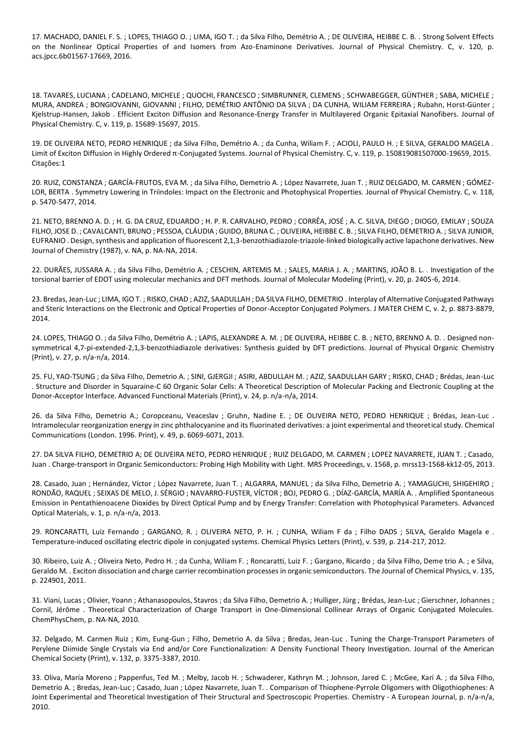17. MACHADO, DANIEL F. S. ; LOPES, THIAGO O. ; LIMA, IGO T. ; da Silva Filho, Demétrio A. ; DE OLIVEIRA, HEIBBE C. B. . Strong Solvent Effects on the Nonlinear Optical Properties of and Isomers from Azo-Enaminone Derivatives. Journal of Physical Chemistry. C, v. 120, p. acs.jpcc.6b01567-17669, 2016.

18. TAVARES, LUCIANA ; CADELANO, MICHELE ; QUOCHI, FRANCESCO ; SIMBRUNNER, CLEMENS ; SCHWABEGGER, GÜNTHER ; SABA, MICHELE ; MURA, ANDREA ; BONGIOVANNI, GIOVANNI ; FILHO, DEMÉTRIO ANTÔNIO DA SILVA ; DA CUNHA, WILIAM FERREIRA ; Rubahn, Horst-Günter ; Kjelstrup-Hansen, Jakob . Efficient Exciton Diffusion and Resonance-Energy Transfer in Multilayered Organic Epitaxial Nanofibers. Journal of Physical Chemistry. C, v. 119, p. 15689-15697, 2015.

19. DE OLIVEIRA NETO, PEDRO HENRIQUE ; da Silva Filho, Demétrio A. ; da Cunha, Wiliam F. ; ACIOLI, PAULO H. ; E SILVA, GERALDO MAGELA . Limit of Exciton Diffusion in Highly Ordered π-Conjugated Systems. Journal of Physical Chemistry. C, v. 119, p. 150819081507000-19659, 2015. Citações:1

20. RUIZ, CONSTANZA ; GARCÍA-FRUTOS, EVA M. ; da Silva Filho, Demetrio A. ; López Navarrete, Juan T. ; RUIZ DELGADO, M. CARMEN ; GÓMEZ-LOR, BERTA . Symmetry Lowering in Triindoles: Impact on the Electronic and Photophysical Properties. Journal of Physical Chemistry. C, v. 118, p. 5470-5477, 2014.

21. NETO, BRENNO A. D. ; H. G. DA CRUZ, EDUARDO ; H. P. R. CARVALHO, PEDRO ; CORRÊA, JOSÉ ; A. C. SILVA, DIEGO ; DIOGO, EMILAY ; SOUZA FILHO, JOSE D. ; CAVALCANTI, BRUNO ; PESSOA, CLÁUDIA ; GUIDO, BRUNA C. ; OLIVEIRA, HEIBBE C. B. ; SILVA FILHO, DEMETRIO A. ; SILVA JUNIOR, EUFRANIO . Design, synthesis and application of fluorescent 2,1,3-benzothiadiazole-triazole-linked biologically active lapachone derivatives. New Journal of Chemistry (1987), v. NA, p. NA-NA, 2014.

22. DURÃES, JUSSARA A. ; da Silva Filho, Demétrio A. ; CESCHIN, ARTEMIS M. ; SALES, MARIA J. A. ; MARTINS, JOÃO B. L. . Investigation of the torsional barrier of EDOT using molecular mechanics and DFT methods. Journal of Molecular Modeling (Print), v. 20, p. 2405-6, 2014.

23. Bredas, Jean-Luc ; LIMA, IGO T. ; RISKO, CHAD ; AZIZ, SAADULLAH ; DA SILVA FILHO, DEMETRIO . Interplay of Alternative Conjugated Pathways and Steric Interactions on the Electronic and Optical Properties of Donor-Acceptor Conjugated Polymers. J MATER CHEM C, v. 2, p. 8873-8879, 2014.

24. LOPES, THIAGO O. ; da Silva Filho, Demétrio A. ; LAPIS, ALEXANDRE A. M. ; DE OLIVEIRA, HEIBBE C. B. ; NETO, BRENNO A. D. . Designed nonsymmetrical 4,7-pi-extended-2,1,3-benzothiadiazole derivatives: Synthesis guided by DFT predictions. Journal of Physical Organic Chemistry (Print), v. 27, p. n/a-n/a, 2014.

25. FU, YAO-TSUNG ; da Silva Filho, Demetrio A. ; SINI, GJERGJI ; ASIRI, ABDULLAH M. ; AZIZ, SAADULLAH GARY ; RISKO, CHAD ; Brédas, Jean-Luc . Structure and Disorder in Squaraine-C 60 Organic Solar Cells: A Theoretical Description of Molecular Packing and Electronic Coupling at the Donor-Acceptor Interface. Advanced Functional Materials (Print), v. 24, p. n/a-n/a, 2014.

26. da Silva Filho, Demetrio A.; Coropceanu, Veaceslav ; Gruhn, Nadine E. ; DE OLIVEIRA NETO, PEDRO HENRIQUE ; Brédas, Jean-Luc . Intramolecular reorganization energy in zinc phthalocyanine and its fluorinated derivatives: a joint experimental and theoretical study. Chemical Communications (London. 1996. Print), v. 49, p. 6069-6071, 2013.

27. DA SILVA FILHO, DEMETRIO A; DE OLIVEIRA NETO, PEDRO HENRIQUE ; RUIZ DELGADO, M. CARMEN ; LOPEZ NAVARRETE, JUAN T. ; Casado, Juan . Charge-transport in Organic Semiconductors: Probing High Mobility with Light. MRS Proceedings, v. 1568, p. mrss13-1568-kk12-05, 2013.

28. Casado, Juan ; Hernández, Víctor ; López Navarrete, Juan T. ; ALGARRA, MANUEL ; da Silva Filho, Demetrio A. ; YAMAGUCHI, SHIGEHIRO ; RONDÃO, RAQUEL ; SEIXAS DE MELO, J. SÉRGIO ; NAVARRO-FUSTER, VÍCTOR ; BOJ, PEDRO G. ; DÍAZ-GARCÍA, MARÍA A. . Amplified Spontaneous Emission in Pentathienoacene Dioxides by Direct Optical Pump and by Energy Transfer: Correlation with Photophysical Parameters. Advanced Optical Materials, v. 1, p. n/a-n/a, 2013.

29. RONCARATTI, Luiz Fernando ; GARGANO, R. ; OLIVEIRA NETO, P. H. ; CUNHA, Wiliam F da ; Filho DADS ; SILVA, Geraldo Magela e . Temperature-induced oscillating electric dipole in conjugated systems. Chemical Physics Letters (Print), v. 539, p. 214-217, 2012.

30. Ribeiro, Luiz A. ; Oliveira Neto, Pedro H. ; da Cunha, Wiliam F. ; Roncaratti, Luiz F. ; Gargano, Ricardo ; da Silva Filho, Deme trio A. ; e Silva, Geraldo M. . Exciton dissociation and charge carrier recombination processes in organic semiconductors. The Journal of Chemical Physics, v. 135, p. 224901, 2011.

31. Viani, Lucas ; Olivier, Yoann ; Athanasopoulos, Stavros ; da Silva Filho, Demetrio A. ; Hulliger, Jürg ; Brédas, Jean-Luc ; Gierschner, Johannes ; Cornil, Jérôme . Theoretical Characterization of Charge Transport in One-Dimensional Collinear Arrays of Organic Conjugated Molecules. ChemPhysChem, p. NA-NA, 2010.

32. Delgado, M. Carmen Ruiz ; Kim, Eung-Gun ; Filho, Demetrio A. da Silva ; Bredas, Jean-Luc . Tuning the Charge-Transport Parameters of Perylene Diimide Single Crystals via End and/or Core Functionalization: A Density Functional Theory Investigation. Journal of the American Chemical Society (Print), v. 132, p. 3375-3387, 2010.

33. Oliva, María Moreno ; Pappenfus, Ted M. ; Melby, Jacob H. ; Schwaderer, Kathryn M. ; Johnson, Jared C. ; McGee, Kari A. ; da Silva Filho, Demetrio A. ; Bredas, Jean-Luc ; Casado, Juan ; López Navarrete, Juan T. . Comparison of Thiophene-Pyrrole Oligomers with Oligothiophenes: A Joint Experimental and Theoretical Investigation of Their Structural and Spectroscopic Properties. Chemistry - A European Journal, p. n/a-n/a, 2010.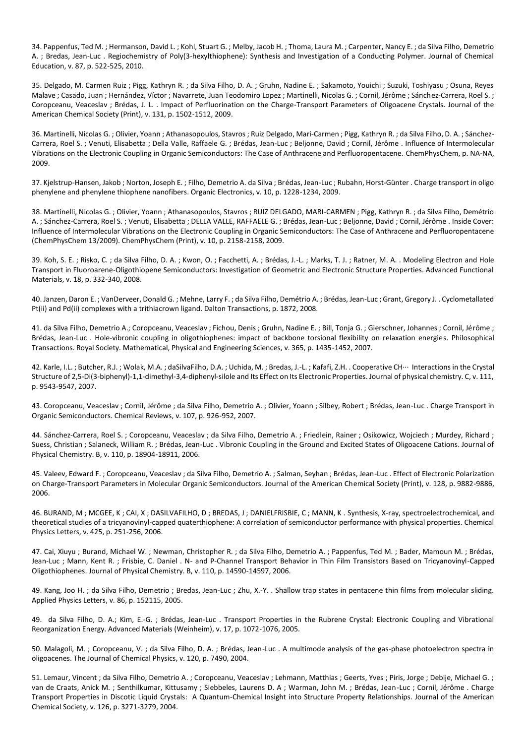34. Pappenfus, Ted M. ; Hermanson, David L. ; Kohl, Stuart G. ; Melby, Jacob H. ; Thoma, Laura M. ; Carpenter, Nancy E. ; da Silva Filho, Demetrio A. ; Bredas, Jean-Luc . Regiochemistry of Poly(3-hexylthiophene): Synthesis and Investigation of a Conducting Polymer. Journal of Chemical Education, v. 87, p. 522-525, 2010.

35. Delgado, M. Carmen Ruiz ; Pigg, Kathryn R. ; da Silva Filho, D. A. ; Gruhn, Nadine E. ; Sakamoto, Youichi ; Suzuki, Toshiyasu ; Osuna, Reyes Malave ; Casado, Juan ; Hernández, Víctor ; Navarrete, Juan Teodomiro Lopez ; Martinelli, Nicolas G. ; Cornil, Jérôme ; Sánchez-Carrera, Roel S. ; Coropceanu, Veaceslav ; Brédas, J. L. . Impact of Perfluorination on the Charge-Transport Parameters of Oligoacene Crystals. Journal of the American Chemical Society (Print), v. 131, p. 1502-1512, 2009.

36. Martinelli, Nicolas G. ; Olivier, Yoann ; Athanasopoulos, Stavros ; Ruiz Delgado, Mari-Carmen ; Pigg, Kathryn R. ; da Silva Filho, D. A. ; Sánchez-Carrera, Roel S. ; Venuti, Elisabetta ; Della Valle, Raffaele G. ; Brédas, Jean-Luc ; Beljonne, David ; Cornil, Jérôme . Influence of Intermolecular Vibrations on the Electronic Coupling in Organic Semiconductors: The Case of Anthracene and Perfluoropentacene. ChemPhysChem, p. NA-NA, 2009.

37. Kjelstrup-Hansen, Jakob ; Norton, Joseph E. ; Filho, Demetrio A. da Silva ; Brédas, Jean-Luc ; Rubahn, Horst-Günter . Charge transport in oligo phenylene and phenylene thiophene nanofibers. Organic Electronics, v. 10, p. 1228-1234, 2009.

38. Martinelli, Nicolas G. ; Olivier, Yoann ; Athanasopoulos, Stavros ; RUIZ DELGADO, MARI-CARMEN ; Pigg, Kathryn R. ; da Silva Filho, Demétrio A. ; Sánchez-Carrera, Roel S. ; Venuti, Elisabetta ; DELLA VALLE, RAFFAELE G. ; Brédas, Jean-Luc ; Beljonne, David ; Cornil, Jérôme . Inside Cover: Influence of Intermolecular Vibrations on the Electronic Coupling in Organic Semiconductors: The Case of Anthracene and Perfluoropentacene (ChemPhysChem 13/2009). ChemPhysChem (Print), v. 10, p. 2158-2158, 2009.

39. Koh, S. E. ; Risko, C. ; da Silva Filho, D. A. ; Kwon, O. ; Facchetti, A. ; Brédas, J.-L. ; Marks, T. J. ; Ratner, M. A. . Modeling Electron and Hole Transport in Fluoroarene-Oligothiopene Semiconductors: Investigation of Geometric and Electronic Structure Properties. Advanced Functional Materials, v. 18, p. 332-340, 2008.

40. Janzen, Daron E. ; VanDerveer, Donald G. ; Mehne, Larry F. ; da Silva Filho, Demétrio A. ; Brédas, Jean-Luc ; Grant, Gregory J. . Cyclometallated Pt(ii) and Pd(ii) complexes with a trithiacrown ligand. Dalton Transactions, p. 1872, 2008.

41. da Silva Filho, Demetrio A.; Coropceanu, Veaceslav ; Fichou, Denis ; Gruhn, Nadine E. ; Bill, Tonja G. ; Gierschner, Johannes ; Cornil, Jérôme ; Brédas, Jean-Luc . Hole-vibronic coupling in oligothiophenes: impact of backbone torsional flexibility on relaxation energies. Philosophical Transactions. Royal Society. Mathematical, Physical and Engineering Sciences, v. 365, p. 1435-1452, 2007.

42. Karle, I.L. ; Butcher, R.J. ; Wolak, M.A. ; daSilvaFilho, D.A. ; Uchida, M. ; Bredas, J.-L. ; Kafafi, Z.H. . Cooperative CH··· Interactions in the Crystal Structure of 2,5-Di(3-biphenyl)-1,1-dimethyl-3,4-diphenyl-silole and Its Effect on Its Electronic Properties. Journal of physical chemistry. C, v. 111, p. 9543-9547, 2007.

43. Coropceanu, Veaceslav ; Cornil, Jérôme ; da Silva Filho, Demetrio A. ; Olivier, Yoann ; Silbey, Robert ; Brédas, Jean-Luc . Charge Transport in Organic Semiconductors. Chemical Reviews, v. 107, p. 926-952, 2007.

44. Sánchez-Carrera, Roel S. ; Coropceanu, Veaceslav ; da Silva Filho, Demetrio A. ; Friedlein, Rainer ; Osikowicz, Wojciech ; Murdey, Richard ; Suess, Christian ; Salaneck, William R. ; Brédas, Jean-Luc . Vibronic Coupling in the Ground and Excited States of Oligoacene Cations. Journal of Physical Chemistry. B, v. 110, p. 18904-18911, 2006.

45. Valeev, Edward F. ; Coropceanu, Veaceslav ; da Silva Filho, Demetrio A. ; Salman, Seyhan ; Brédas, Jean-Luc . Effect of Electronic Polarization on Charge-Transport Parameters in Molecular Organic Semiconductors. Journal of the American Chemical Society (Print), v. 128, p. 9882-9886, 2006.

46. BURAND, M ; MCGEE, K ; CAI, X ; DASILVAFILHO, D ; BREDAS, J ; DANIELFRISBIE, C ; MANN, K . Synthesis, X-ray, spectroelectrochemical, and theoretical studies of a tricyanovinyl-capped quaterthiophene: A correlation of semiconductor performance with physical properties. Chemical Physics Letters, v. 425, p. 251-256, 2006.

47. Cai, Xiuyu ; Burand, Michael W. ; Newman, Christopher R. ; da Silva Filho, Demetrio A. ; Pappenfus, Ted M. ; Bader, Mamoun M. ; Brédas, Jean-Luc ; Mann, Kent R. ; Frisbie, C. Daniel . N- and P-Channel Transport Behavior in Thin Film Transistors Based on Tricyanovinyl-Capped Oligothiophenes. Journal of Physical Chemistry. B, v. 110, p. 14590-14597, 2006.

49. Kang, Joo H. ; da Silva Filho, Demetrio ; Bredas, Jean-Luc ; Zhu, X.-Y. . Shallow trap states in pentacene thin films from molecular sliding. Applied Physics Letters, v. 86, p. 152115, 2005.

49. da Silva Filho, D. A.; Kim, E.-G. ; Brédas, Jean-Luc . Transport Properties in the Rubrene Crystal: Electronic Coupling and Vibrational Reorganization Energy. Advanced Materials (Weinheim), v. 17, p. 1072-1076, 2005.

50. Malagoli, M. ; Coropceanu, V. ; da Silva Filho, D. A. ; Brédas, Jean-Luc . A multimode analysis of the gas-phase photoelectron spectra in oligoacenes. The Journal of Chemical Physics, v. 120, p. 7490, 2004.

51. Lemaur, Vincent ; da Silva Filho, Demetrio A. ; Coropceanu, Veaceslav ; Lehmann, Matthias ; Geerts, Yves ; Piris, Jorge ; Debije, Michael G. ; van de Craats, Anick M. ; Senthilkumar, Kittusamy ; Siebbeles, Laurens D. A ; Warman, John M. ; Brédas, Jean-Luc ; Cornil, Jérôme . Charge Transport Properties in Discotic Liquid Crystals: A Quantum-Chemical Insight into Structure Property Relationships. Journal of the American Chemical Society, v. 126, p. 3271-3279, 2004.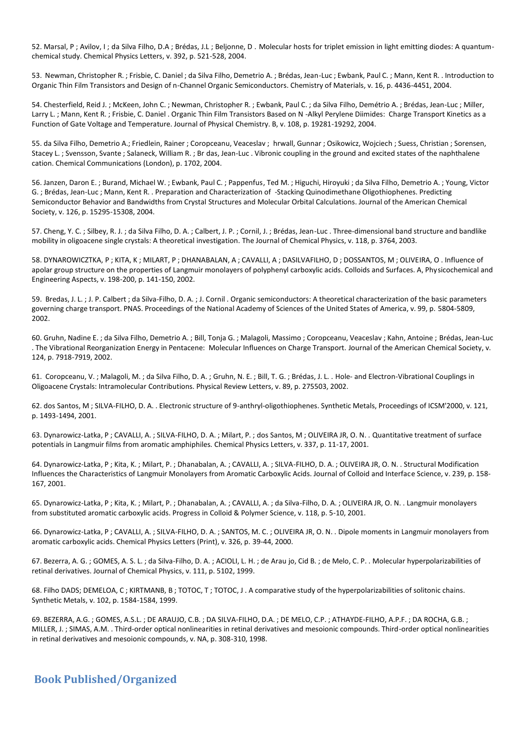52. Marsal, P ; Avilov, I ; da Silva Filho, D.A ; Brédas, J.L ; Beljonne, D . Molecular hosts for triplet emission in light emitting diodes: A quantumchemical study. Chemical Physics Letters, v. 392, p. 521-528, 2004.

53. Newman, Christopher R. ; Frisbie, C. Daniel ; da Silva Filho, Demetrio A. ; Brédas, Jean-Luc ; Ewbank, Paul C. ; Mann, Kent R. . Introduction to Organic Thin Film Transistors and Design of n-Channel Organic Semiconductors. Chemistry of Materials, v. 16, p. 4436-4451, 2004.

54. Chesterfield, Reid J. ; McKeen, John C. ; Newman, Christopher R. ; Ewbank, Paul C. ; da Silva Filho, Demétrio A. ; Brédas, Jean-Luc ; Miller, Larry L. ; Mann, Kent R. ; Frisbie, C. Daniel . Organic Thin Film Transistors Based on N -Alkyl Perylene Diimides: Charge Transport Kinetics as a Function of Gate Voltage and Temperature. Journal of Physical Chemistry. B, v. 108, p. 19281-19292, 2004.

55. da Silva Filho, Demetrio A.; Friedlein, Rainer ; Coropceanu, Veaceslav ; hrwall, Gunnar ; Osikowicz, Wojciech ; Suess, Christian ; Sorensen, Stacey L. ; Svensson, Svante ; Salaneck, William R. ; Br das, Jean-Luc . Vibronic coupling in the ground and excited states of the naphthalene cation. Chemical Communications (London), p. 1702, 2004.

56. Janzen, Daron E. ; Burand, Michael W. ; Ewbank, Paul C. ; Pappenfus, Ted M. ; Higuchi, Hiroyuki ; da Silva Filho, Demetrio A. ; Young, Victor G. ; Brédas, Jean-Luc ; Mann, Kent R. . Preparation and Characterization of -Stacking Quinodimethane Oligothiophenes. Predicting Semiconductor Behavior and Bandwidths from Crystal Structures and Molecular Orbital Calculations. Journal of the American Chemical Society, v. 126, p. 15295-15308, 2004.

57. Cheng, Y. C. ; Silbey, R. J. ; da Silva Filho, D. A. ; Calbert, J. P. ; Cornil, J. ; Brédas, Jean-Luc . Three-dimensional band structure and bandlike mobility in oligoacene single crystals: A theoretical investigation. The Journal of Chemical Physics, v. 118, p. 3764, 2003.

58. DYNAROWICZTKA, P ; KITA, K ; MILART, P ; DHANABALAN, A ; CAVALLI, A ; DASILVAFILHO, D ; DOSSANTOS, M ; OLIVEIRA, O . Influence of apolar group structure on the properties of Langmuir monolayers of polyphenyl carboxylic acids. Colloids and Surfaces. A, Physicochemical and Engineering Aspects, v. 198-200, p. 141-150, 2002.

59. Bredas, J. L. ; J. P. Calbert ; da Silva-Filho, D. A. ; J. Cornil . Organic semiconductors: A theoretical characterization of the basic parameters governing charge transport. PNAS. Proceedings of the National Academy of Sciences of the United States of America, v. 99, p. 5804-5809, 2002.

60. Gruhn, Nadine E. ; da Silva Filho, Demetrio A. ; Bill, Tonja G. ; Malagoli, Massimo ; Coropceanu, Veaceslav ; Kahn, Antoine ; Brédas, Jean-Luc . The Vibrational Reorganization Energy in Pentacene: Molecular Influences on Charge Transport. Journal of the American Chemical Society, v. 124, p. 7918-7919, 2002.

61. Coropceanu, V. ; Malagoli, M. ; da Silva Filho, D. A. ; Gruhn, N. E. ; Bill, T. G. ; Brédas, J. L. . Hole- and Electron-Vibrational Couplings in Oligoacene Crystals: Intramolecular Contributions. Physical Review Letters, v. 89, p. 275503, 2002.

62. dos Santos, M ; SILVA-FILHO, D. A. . Electronic structure of 9-anthryl-oligothiophenes. Synthetic Metals, Proceedings of ICSM'2000, v. 121, p. 1493-1494, 2001.

63. Dynarowicz-Latka, P ; CAVALLI, A. ; SILVA-FILHO, D. A. ; Milart, P. ; dos Santos, M ; OLIVEIRA JR, O. N. . Quantitative treatment of surface potentials in Langmuir films from aromatic amphiphiles. Chemical Physics Letters, v. 337, p. 11-17, 2001.

64. Dynarowicz-Latka, P ; Kita, K. ; Milart, P. ; Dhanabalan, A. ; CAVALLI, A. ; SILVA-FILHO, D. A. ; OLIVEIRA JR, O. N. . Structural Modification Influences the Characteristics of Langmuir Monolayers from Aromatic Carboxylic Acids. Journal of Colloid and Interface Science, v. 239, p. 158- 167, 2001.

65. Dynarowicz-Latka, P ; Kita, K. ; Milart, P. ; Dhanabalan, A. ; CAVALLI, A. ; da Silva-Filho, D. A. ; OLIVEIRA JR, O. N. . Langmuir monolayers from substituted aromatic carboxylic acids. Progress in Colloid & Polymer Science, v. 118, p. 5-10, 2001.

66. Dynarowicz-Latka, P ; CAVALLI, A. ; SILVA-FILHO, D. A. ; SANTOS, M. C. ; OLIVEIRA JR, O. N. . Dipole moments in Langmuir monolayers from aromatic carboxylic acids. Chemical Physics Letters (Print), v. 326, p. 39-44, 2000.

67. Bezerra, A. G. ; GOMES, A. S. L. ; da Silva-Filho, D. A. ; ACIOLI, L. H. ; de Arau jo, Cid B. ; de Melo, C. P. . Molecular hyperpolarizabilities of retinal derivatives. Journal of Chemical Physics, v. 111, p. 5102, 1999.

68. Filho DADS; DEMELOA, C ; KIRTMANB, B ; TOTOC, T ; TOTOC, J . A comparative study of the hyperpolarizabilities of solitonic chains. Synthetic Metals, v. 102, p. 1584-1584, 1999.

69. BEZERRA, A.G. ; GOMES, A.S.L. ; DE ARAUJO, C.B. ; DA SILVA-FILHO, D.A. ; DE MELO, C.P. ; ATHAYDE-FILHO, A.P.F. ; DA ROCHA, G.B. ; MILLER, J. ; SIMAS, A.M. . Third-order optical nonlinearities in retinal derivatives and mesoionic compounds. Third-order optical nonlinearities in retinal derivatives and mesoionic compounds, v. NA, p. 308-310, 1998.

## **Book Published/Organized**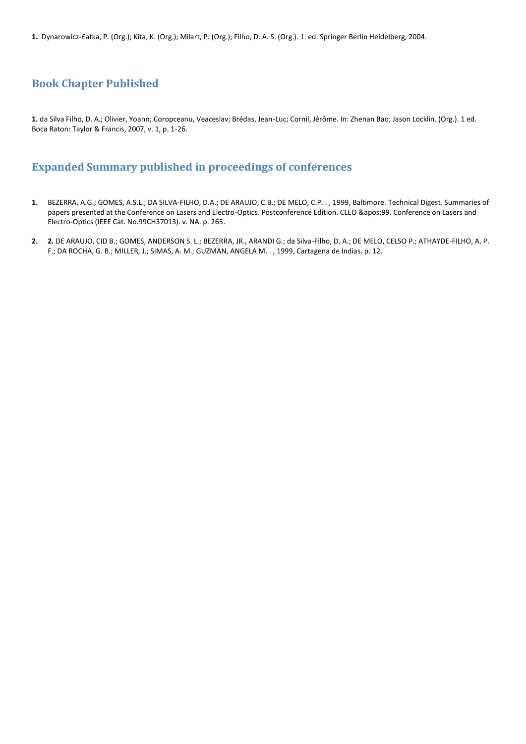**1.** Dynarowicz-£atka, P. (Org.); Kita, K. (Org.); Milart, P. (Org.); Filho, D. A. S. (Org.). 1. ed. Springer Berlin Heidelberg, 2004.

## **Book Chapter Published**

**1.** da Silva Filho, D. A.; Olivier, Yoann; Coropceanu, Veaceslav; Brédas, Jean-Luc; Cornil, Jérôme. In: Zhenan Bao; Jason Locklin. (Org.). 1 ed. Boca Raton: Taylor & Francis, 2007, v. 1, p. 1-26.

## **Expanded Summary published in proceedings of conferences**

- **1.** BEZERRA, A.G.; GOMES, A.S.L.; DA SILVA-FILHO, D.A.; DE ARAUJO, C.B.; DE MELO, C.P. . , 1999, Baltimore. Technical Digest. Summaries of papers presented at the Conference on Lasers and Electro-Optics. Postconference Edition. CLEO '99. Conference on Lasers and Electro-Optics (IEEE Cat. No.99CH37013). v. NA. p. 265.
- **2. 2.** DE ARAUJO, CID B.; GOMES, ANDERSON S. L.; BEZERRA, JR., ARANDI G.; da Silva-Filho, D. A.; DE MELO, CELSO P.; ATHAYDE-FILHO, A. P. F.; DA ROCHA, G. B.; MILLER, J.; SIMAS, A. M.; GUZMAN, ANGELA M. . , 1999, Cartagena de Indias. p. 12.